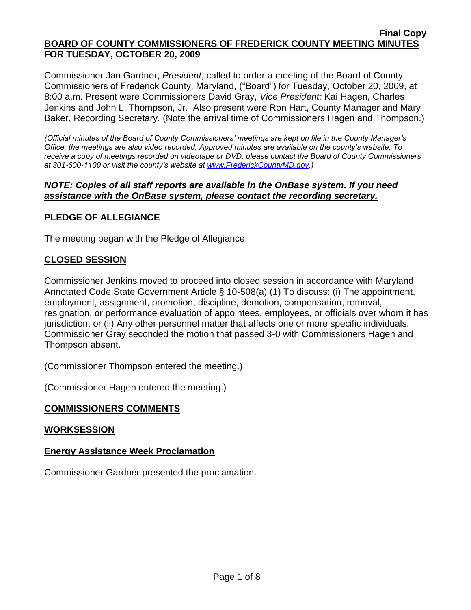Commissioner Jan Gardner, *President*, called to order a meeting of the Board of County Commissioners of Frederick County, Maryland, ("Board") for Tuesday, October 20, 2009, at 8:00 a.m. Present were Commissioners David Gray, *Vice President;* Kai Hagen, Charles Jenkins and John L. Thompson, Jr. Also present were Ron Hart, County Manager and Mary Baker, Recording Secretary. (Note the arrival time of Commissioners Hagen and Thompson.)

*(Official minutes of the Board of County Commissioners' meetings are kept on file in the County Manager's Office; the meetings are also video recorded. Approved minutes are available on the county's website. To receive a copy of meetings recorded on videotape or DVD, please contact the Board of County Commissioners at 301-600-1100 or visit the county's website at [www.FrederickCountyMD.gov.](http://www.frederickcountymd.gov/))*

### *NOTE: Copies of all staff reports are available in the OnBase system. If you need assistance with the OnBase system, please contact the recording secretary.*

# **PLEDGE OF ALLEGIANCE**

The meeting began with the Pledge of Allegiance.

# **CLOSED SESSION**

Commissioner Jenkins moved to proceed into closed session in accordance with Maryland Annotated Code State Government Article § 10-508(a) (1) To discuss: (i) The appointment, employment, assignment, promotion, discipline, demotion, compensation, removal, resignation, or performance evaluation of appointees, employees, or officials over whom it has jurisdiction; or (ii) Any other personnel matter that affects one or more specific individuals. Commissioner Gray seconded the motion that passed 3-0 with Commissioners Hagen and Thompson absent.

(Commissioner Thompson entered the meeting.)

(Commissioner Hagen entered the meeting.)

#### **COMMISSIONERS COMMENTS**

#### **WORKSESSION**

# **Energy Assistance Week Proclamation**

Commissioner Gardner presented the proclamation.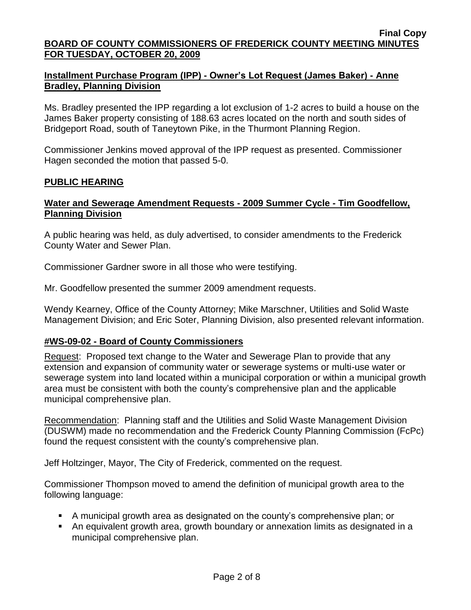# **Installment Purchase Program (IPP) - Owner's Lot Request (James Baker) - Anne Bradley, Planning Division**

Ms. Bradley presented the IPP regarding a lot exclusion of 1-2 acres to build a house on the James Baker property consisting of 188.63 acres located on the north and south sides of Bridgeport Road, south of Taneytown Pike, in the Thurmont Planning Region.

Commissioner Jenkins moved approval of the IPP request as presented. Commissioner Hagen seconded the motion that passed 5-0.

## **PUBLIC HEARING**

### **Water and Sewerage Amendment Requests - 2009 Summer Cycle - Tim Goodfellow, Planning Division**

A public hearing was held, as duly advertised, to consider amendments to the Frederick County Water and Sewer Plan.

Commissioner Gardner swore in all those who were testifying.

Mr. Goodfellow presented the summer 2009 amendment requests.

Wendy Kearney, Office of the County Attorney; Mike Marschner, Utilities and Solid Waste Management Division; and Eric Soter, Planning Division, also presented relevant information.

# **#WS-09-02 - Board of County Commissioners**

Request: Proposed text change to the Water and Sewerage Plan to provide that any extension and expansion of community water or sewerage systems or multi-use water or sewerage system into land located within a municipal corporation or within a municipal growth area must be consistent with both the county's comprehensive plan and the applicable municipal comprehensive plan.

Recommendation: Planning staff and the Utilities and Solid Waste Management Division (DUSWM) made no recommendation and the Frederick County Planning Commission (FcPc) found the request consistent with the county's comprehensive plan.

Jeff Holtzinger, Mayor, The City of Frederick, commented on the request.

Commissioner Thompson moved to amend the definition of municipal growth area to the following language:

- A municipal growth area as designated on the county's comprehensive plan; or
- An equivalent growth area, growth boundary or annexation limits as designated in a municipal comprehensive plan.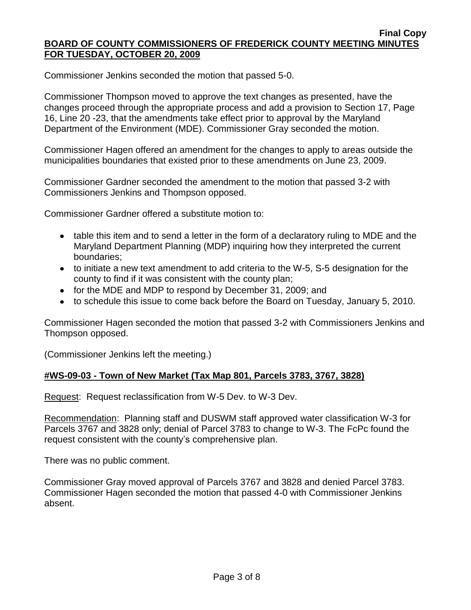Commissioner Jenkins seconded the motion that passed 5-0.

Commissioner Thompson moved to approve the text changes as presented, have the changes proceed through the appropriate process and add a provision to Section 17, Page 16, Line 20 -23, that the amendments take effect prior to approval by the Maryland Department of the Environment (MDE). Commissioner Gray seconded the motion.

Commissioner Hagen offered an amendment for the changes to apply to areas outside the municipalities boundaries that existed prior to these amendments on June 23, 2009.

Commissioner Gardner seconded the amendment to the motion that passed 3-2 with Commissioners Jenkins and Thompson opposed.

Commissioner Gardner offered a substitute motion to:

- table this item and to send a letter in the form of a declaratory ruling to MDE and the Maryland Department Planning (MDP) inquiring how they interpreted the current boundaries;
- to initiate a new text amendment to add criteria to the W-5, S-5 designation for the county to find if it was consistent with the county plan;
- for the MDE and MDP to respond by December 31, 2009; and
- to schedule this issue to come back before the Board on Tuesday, January 5, 2010.

Commissioner Hagen seconded the motion that passed 3-2 with Commissioners Jenkins and Thompson opposed.

(Commissioner Jenkins left the meeting.)

#### **#WS-09-03 - Town of New Market (Tax Map 801, Parcels 3783, 3767, 3828)**

Request: Request reclassification from W-5 Dev. to W-3 Dev.

Recommendation: Planning staff and DUSWM staff approved water classification W-3 for Parcels 3767 and 3828 only; denial of Parcel 3783 to change to W-3. The FcPc found the request consistent with the county's comprehensive plan.

There was no public comment.

Commissioner Gray moved approval of Parcels 3767 and 3828 and denied Parcel 3783. Commissioner Hagen seconded the motion that passed 4-0 with Commissioner Jenkins absent.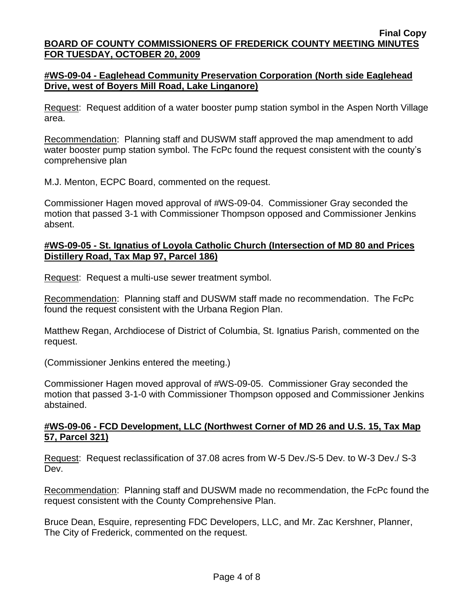## **#WS-09-04 - Eaglehead Community Preservation Corporation (North side Eaglehead Drive, west of Boyers Mill Road, Lake Linganore)**

Request: Request addition of a water booster pump station symbol in the Aspen North Village area.

Recommendation: Planning staff and DUSWM staff approved the map amendment to add water booster pump station symbol. The FcPc found the request consistent with the county's comprehensive plan

M.J. Menton, ECPC Board, commented on the request.

Commissioner Hagen moved approval of #WS-09-04. Commissioner Gray seconded the motion that passed 3-1 with Commissioner Thompson opposed and Commissioner Jenkins absent.

### **#WS-09-05 - St. Ignatius of Loyola Catholic Church (Intersection of MD 80 and Prices Distillery Road, Tax Map 97, Parcel 186)**

Request: Request a multi-use sewer treatment symbol.

Recommendation: Planning staff and DUSWM staff made no recommendation. The FcPc found the request consistent with the Urbana Region Plan.

Matthew Regan, Archdiocese of District of Columbia, St. Ignatius Parish, commented on the request.

(Commissioner Jenkins entered the meeting.)

Commissioner Hagen moved approval of #WS-09-05. Commissioner Gray seconded the motion that passed 3-1-0 with Commissioner Thompson opposed and Commissioner Jenkins abstained.

## **#WS-09-06 - FCD Development, LLC (Northwest Corner of MD 26 and U.S. 15, Tax Map 57, Parcel 321)**

Request: Request reclassification of 37.08 acres from W-5 Dev./S-5 Dev. to W-3 Dev./ S-3 Dev.

Recommendation: Planning staff and DUSWM made no recommendation, the FcPc found the request consistent with the County Comprehensive Plan.

Bruce Dean, Esquire, representing FDC Developers, LLC, and Mr. Zac Kershner, Planner, The City of Frederick, commented on the request.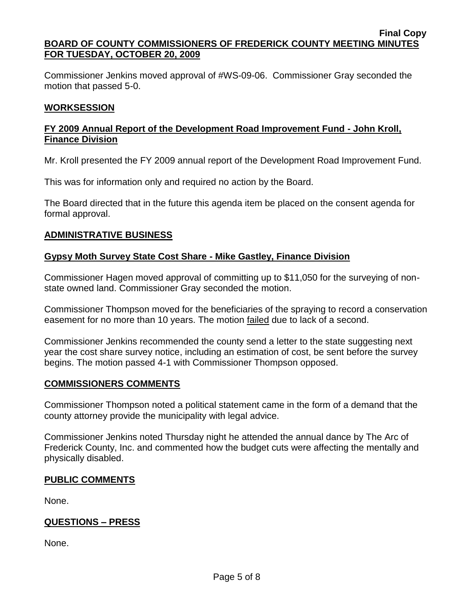Commissioner Jenkins moved approval of #WS-09-06. Commissioner Gray seconded the motion that passed 5-0.

### **WORKSESSION**

### **FY 2009 Annual Report of the Development Road Improvement Fund - John Kroll, Finance Division**

Mr. Kroll presented the FY 2009 annual report of the Development Road Improvement Fund.

This was for information only and required no action by the Board.

The Board directed that in the future this agenda item be placed on the consent agenda for formal approval.

## **ADMINISTRATIVE BUSINESS**

## **Gypsy Moth Survey State Cost Share - Mike Gastley, Finance Division**

Commissioner Hagen moved approval of committing up to \$11,050 for the surveying of nonstate owned land. Commissioner Gray seconded the motion.

Commissioner Thompson moved for the beneficiaries of the spraying to record a conservation easement for no more than 10 years. The motion failed due to lack of a second.

Commissioner Jenkins recommended the county send a letter to the state suggesting next year the cost share survey notice, including an estimation of cost, be sent before the survey begins. The motion passed 4-1 with Commissioner Thompson opposed.

#### **COMMISSIONERS COMMENTS**

Commissioner Thompson noted a political statement came in the form of a demand that the county attorney provide the municipality with legal advice.

Commissioner Jenkins noted Thursday night he attended the annual dance by The Arc of Frederick County, Inc. and commented how the budget cuts were affecting the mentally and physically disabled.

#### **PUBLIC COMMENTS**

None.

#### **QUESTIONS – PRESS**

None.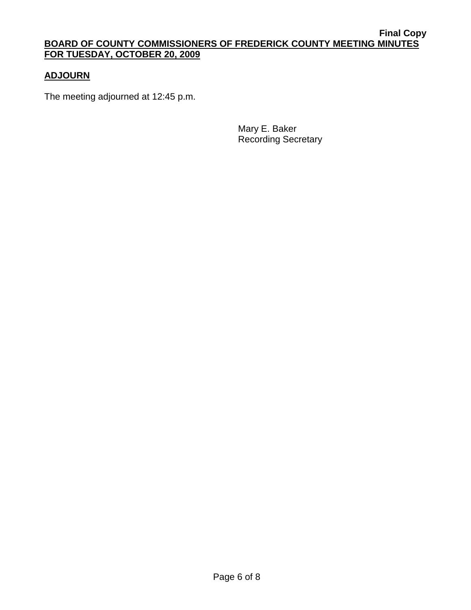# **ADJOURN**

The meeting adjourned at 12:45 p.m.

Mary E. Baker Recording Secretary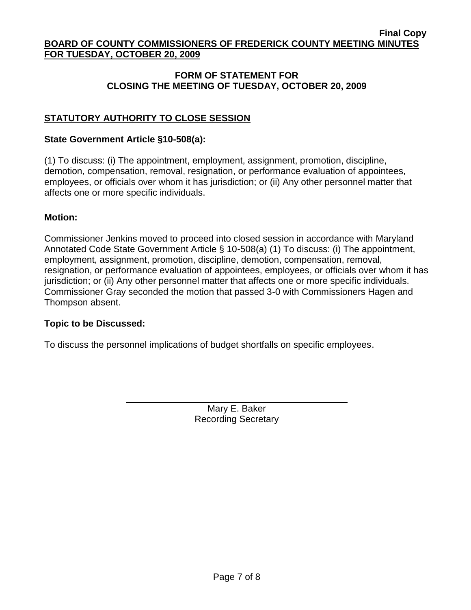## **FORM OF STATEMENT FOR CLOSING THE MEETING OF TUESDAY, OCTOBER 20, 2009**

# **STATUTORY AUTHORITY TO CLOSE SESSION**

#### **State Government Article §10-508(a):**

(1) To discuss: (i) The appointment, employment, assignment, promotion, discipline, demotion, compensation, removal, resignation, or performance evaluation of appointees, employees, or officials over whom it has jurisdiction; or (ii) Any other personnel matter that affects one or more specific individuals.

#### **Motion:**

Commissioner Jenkins moved to proceed into closed session in accordance with Maryland Annotated Code State Government Article § 10-508(a) (1) To discuss: (i) The appointment, employment, assignment, promotion, discipline, demotion, compensation, removal, resignation, or performance evaluation of appointees, employees, or officials over whom it has jurisdiction; or (ii) Any other personnel matter that affects one or more specific individuals. Commissioner Gray seconded the motion that passed 3-0 with Commissioners Hagen and Thompson absent.

#### **Topic to be Discussed:**

To discuss the personnel implications of budget shortfalls on specific employees.

Mary E. Baker Recording Secretary